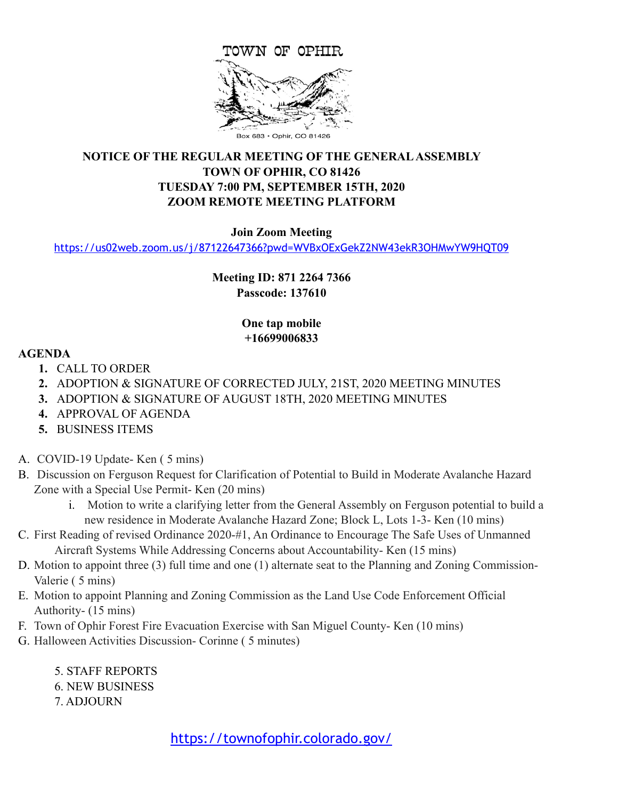

# **NOTICE OF THE REGULAR MEETING OF THE GENERAL ASSEMBLY TOWN OF OPHIR, CO 81426 TUESDAY 7:00 PM, SEPTEMBER 15TH, 2020 ZOOM REMOTE MEETING PLATFORM**

#### **Join Zoom Meeting**

<https://us02web.zoom.us/j/87122647366?pwd=WVBxOExGekZ2NW43ekR3OHMwYW9HQT09>

# **Meeting ID: 871 2264 7366 Passcode: 137610**

### **One tap mobile +16699006833**

#### **AGENDA**

- **1.** CALL TO ORDER
- **2.** ADOPTION & SIGNATURE OF CORRECTED JULY, 21ST, 2020 MEETING MINUTES
- **3.** ADOPTION & SIGNATURE OF AUGUST 18TH, 2020 MEETING MINUTES
- **4.** APPROVAL OF AGENDA
- **5.** BUSINESS ITEMS
- A. COVID-19 Update- Ken ( 5 mins)
- B. Discussion on Ferguson Request for Clarification of Potential to Build in Moderate Avalanche Hazard Zone with a Special Use Permit- Ken (20 mins)
	- i. Motion to write a clarifying letter from the General Assembly on Ferguson potential to build a new residence in Moderate Avalanche Hazard Zone; Block L, Lots 1-3- Ken (10 mins)
- C. First Reading of revised Ordinance 2020-#1, An Ordinance to Encourage The Safe Uses of Unmanned Aircraft Systems While Addressing Concerns about Accountability- Ken (15 mins)
- D. Motion to appoint three (3) full time and one (1) alternate seat to the Planning and Zoning Commission-Valerie ( 5 mins)
- E. Motion to appoint Planning and Zoning Commission as the Land Use Code Enforcement Official Authority- (15 mins)
- F. Town of Ophir Forest Fire Evacuation Exercise with San Miguel County- Ken (10 mins)
- G. Halloween Activities Discussion- Corinne ( 5 minutes)
	- 5. STAFF REPORTS
	- 6. NEW BUSINESS
	- 7. ADJOURN

<https://townofophir.colorado.gov/>